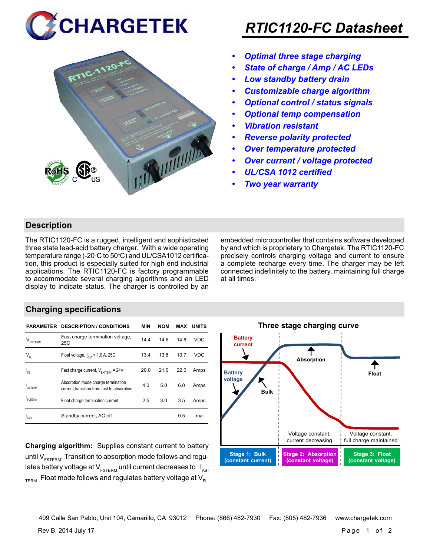



## *RTIC1120-FC Datasheet*

- *• Optimal three stage charging*
- *• State of charge / Amp / AC LEDs*
- *• Low standby battery drain*
- *• Customizable charge algorithm*
- *• Optional control / status signals*
- *• Optional temp compensation*
- *• Vibration resistant*
- *• Reverse polarity protected*
- *• Over temperature protected*
- *• Over current / voltage protected*
- *• UL/CSA 1012 certified*
- *• Two year warranty*

#### **Description**

The RTIC1120-FC is a rugged, intelligent and sophisticated three state lead-acid battery charger. With a wide operating temperature range (-20°C to 50°C) and UL/CSA1012 certification, this product is especially suited for high end industrial applications. The RTIC1120-FC is factory programmable to accommodate several charging algorithms and an LED display to indicate status. The charger is controlled by an embedded microcontroller that contains software developed by and which is proprietary to Chargetek. The RTIC1120-FC precisely controls charging voltage and current to ensure a complete recharge every time. The charger may be left connected indefinitely to the battery, maintaining full charge at all times.

#### **Charging specifications**

|                                      | <b>PARAMETER DESCRIPTION / CONDITIONS</b>                                         | <b>MIN</b> | <b>NOM</b> | MAX  | <b>UNITS</b> |
|--------------------------------------|-----------------------------------------------------------------------------------|------------|------------|------|--------------|
| $\mathsf{V}_{\texttt{\tiny FSTERN}}$ | Fast charge termination voltage,<br>25C                                           | 14.4       | 14.6       | 14.8 | VDC          |
| $V_{FL}$                             | Float voltage, $I_{\text{out}}$ < 1.0 A, 25C                                      | 13.4       | 13.6       | 13.7 | VDC          |
| $I_{FS}$                             | Fast charge current, $V_{\text{partrev}} = 24V$                                   | 20.0       | 21.0       | 22.0 | Amps         |
| <b>ARTERM</b>                        | Absorption mode charge termination<br>current, transition from fast to absorption | 4.0        | 5.0        | 6.0  | Amps         |
| FI TFRM                              | Float charge termination current                                                  | 2.5        | 3.0        | 3.5  | Amps         |
| SRY                                  | Standby current, AC off                                                           |            |            | 0.5  | ma           |

**Charging algorithm:** Supplies constant current to battery until  $V_{ESTFRM}$ . Transition to absorption mode follows and regulates battery voltage at  $V_{ESTERM}$  until current decreases to  $I_{AR}$  $T_{\text{FRM}}$  Float mode follows and regulates battery voltage at  $V_{\text{FL}}$ 



Rev B. 2014 July 17 Page 1 of 2 409 Calle San Pablo, Unit 104, Camarillo, CA 93012 Phone: (866) 482-7930 Fax: (805) 482-7936 www.chargetek.com